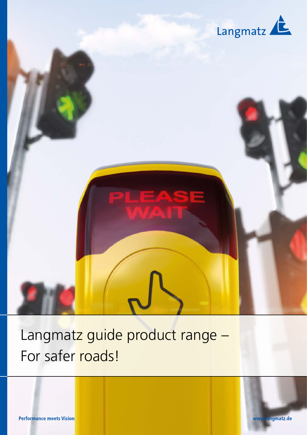

# Langmatz guide product range – For safer roads!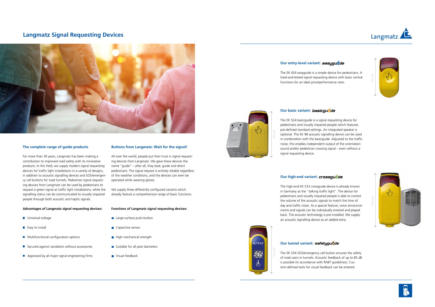## **Langmatz Signal Requesting Devices**











The EK 424 easyguide is a simple device for pedestrians. A tried-and-tested signal requesting device with basic central functions for an ideal price/performance ratio.

### **Our basic variant: basicquicle**

The EK 524 basicguide is a signal requesting device for pedestrians and visually impaired people which features pre-defined standard settings. An integrated speaker is optional. The EK 98 acoustic signalling device can be used in combination with the basicguide. Adjusted to the traffic noise, this enables independent output of the orientation sound and/or pedestrian crossing signal – even without a signal requesting device.

### **Our high-end variant: crossquade**

The high-end EK 533 crossguide device is already known in Germany as the "talking traffic light". The device for pedestrians and visually impaired people is able to control the volume of the acoustic signals to match the time of day and traffic noise. As a special feature, voice announcements and signals can be individually entered and played back. The acoustic technology is pre-installed. We supply an acoustic signalling device as an added extra.



## **Our tunnel variant: safetyguzde**

The EK 534 SOS/emergency call button ensures the safety of road users in tunnels. Acoustic feedback of up to 85 dB is possible (in accordance with RABT guidelines). Custom-defined texts for visual feedback can be entered.





### **The complete range of guide products**

For more than 30 years, Langmatz has been making a contribution to improved road safety with its innovative products. In this field, we supply modern signal requesting devices for traffic light installations in a variety of designs, in addition to acoustic signalling devices and SOS/emergency call buttons for road tunnels. Pedestrian signal requesting devices from Langmatz can be used by pedestrians to request a green signal at traffic light installations, while the signalling status can be communicated to visually impaired people through both acoustic and haptic signals.

#### **Advantages of Langmatz signal requesting devices:**

- **Universal voltage**
- $\blacksquare$  Easy to install
- **Multifunctional configuration options**
- $\blacksquare$  Secured against vandalism without accessories
- $\blacksquare$  Approved by all major signal engineering firms

### **Buttons from Langmatz: Wait for the signal!**

All over the world, people put their trust in signal requesting devices from Langmatz. We gave these devices the name "guide" – after all, they lead, guide and direct pedestrians. The signal request is entirely reliable regardless of the weather conditions, and the devices can even be operated while wearing gloves.

We supply three differently configured variants which already feature a comprehensive range of basic functions.

#### **Functions of Langmatz signal requesting devices:**

- **Large-surface push-button**
- **Capacitive sensor**
- $\blacksquare$  High mechanical strength
- $\blacksquare$  Suitable for all pole diameters
- Visual feedback



### **Our entry-level variant: easyquade**